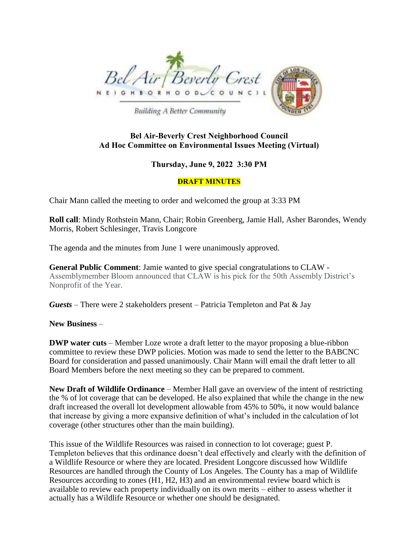

**Building A Better Community** 

## **Bel Air-Beverly Crest Neighborhood Council Ad Hoc Committee on Environmental Issues Meeting (Virtual)**

## **Thursday, June 9, 2022 3:30 PM**

## **DRAFT MINUTES**

Chair Mann called the meeting to order and welcomed the group at 3:33 PM

**Roll call**: Mindy Rothstein Mann, Chair; Robin Greenberg, Jamie Hall, Asher Barondes, Wendy Morris, Robert Schlesinger, Travis Longcore

The agenda and the minutes from June 1 were unanimously approved.

**General Public Comment**: Jamie wanted to give special congratulations to CLAW - Assemblymember Bloom announced that CLAW is his pick for the 50th Assembly District's Nonprofit of the Year.

*Guests* – There were 2 stakeholders present – Patricia Templeton and Pat & Jay

**New Business** –

**DWP water cuts** – Member Loze wrote a draft letter to the mayor proposing a blue-ribbon committee to review these DWP policies. Motion was made to send the letter to the BABCNC Board for consideration and passed unanimously. Chair Mann will email the draft letter to all Board Members before the next meeting so they can be prepared to comment.

**New Draft of Wildlife Ordinance** – Member Hall gave an overview of the intent of restricting the % of lot coverage that can be developed. He also explained that while the change in the new draft increased the overall lot development allowable from 45% to 50%, it now would balance that increase by giving a more expansive definition of what's included in the calculation of lot coverage (other structures other than the main building).

This issue of the Wildlife Resources was raised in connection to lot coverage; guest P. Templeton believes that this ordinance doesn't deal effectively and clearly with the definition of a Wildlife Resource or where they are located. President Longcore discussed how Wildlife Resources are handled through the County of Los Angeles. The County has a map of Wildlife Resources according to zones (H1, H2, H3) and an environmental review board which is available to review each property individually on its own merits – either to assess whether it actually has a Wildlife Resource or whether one should be designated.